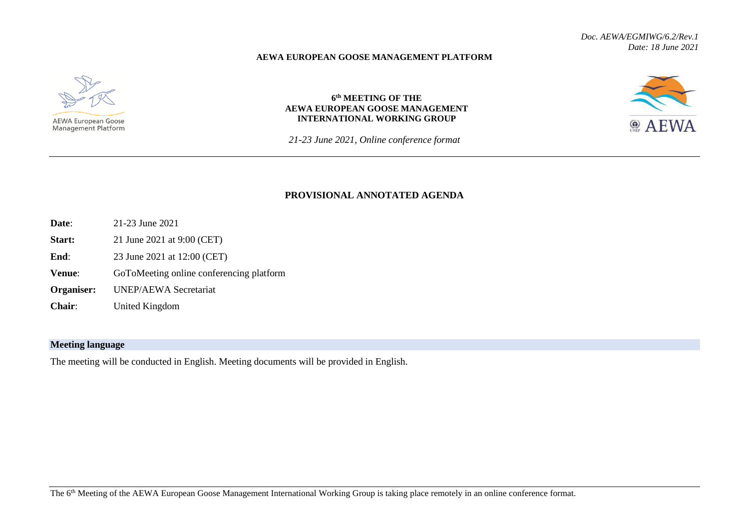## **AEWA EUROPEAN GOOSE MANAGEMENT PLATFORM**



## **6 th MEETING OF THE AEWA EUROPEAN GOOSE MANAGEMENT INTERNATIONAL WORKING GROUP**

<sup>©</sup> AFWA

*21-23 June 2021, Online conference format*

## **PROVISIONAL ANNOTATED AGENDA**

- **Date**: 21-23 June 2021
- **Start:** 21 June 2021 at 9:00 (CET)
- **End:** 23 June 2021 at 12:00 (CET)
- **Venue:** GoToMeeting online conferencing platform
- **Organiser:** UNEP/AEWA Secretariat
- **Chair**: United Kingdom

## **Meeting language**

The meeting will be conducted in English. Meeting documents will be provided in English.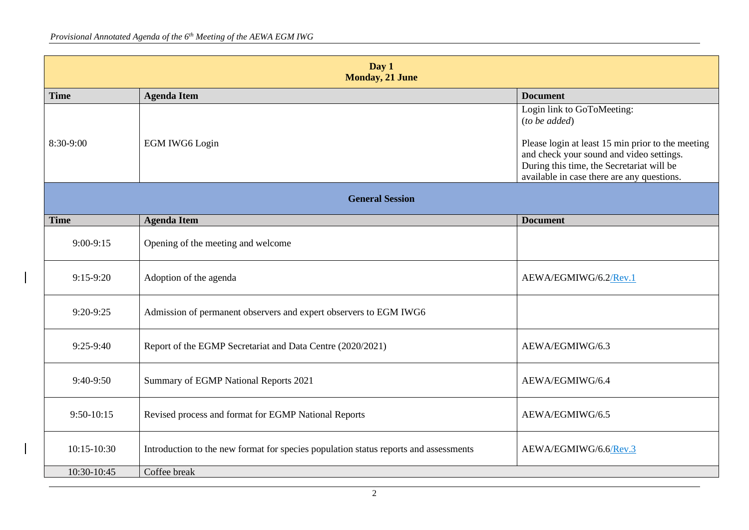| Day 1<br><b>Monday, 21 June</b> |                                                                                      |                                                                                                                                                                                                                                           |
|---------------------------------|--------------------------------------------------------------------------------------|-------------------------------------------------------------------------------------------------------------------------------------------------------------------------------------------------------------------------------------------|
| <b>Time</b>                     | <b>Agenda Item</b>                                                                   | <b>Document</b>                                                                                                                                                                                                                           |
| 8:30-9:00                       | <b>EGM IWG6 Login</b>                                                                | Login link to GoToMeeting:<br>$(to$ be added)<br>Please login at least 15 min prior to the meeting<br>and check your sound and video settings.<br>During this time, the Secretariat will be<br>available in case there are any questions. |
| <b>General Session</b>          |                                                                                      |                                                                                                                                                                                                                                           |
| <b>Time</b>                     | <b>Agenda Item</b>                                                                   | <b>Document</b>                                                                                                                                                                                                                           |
| $9:00-9:15$                     | Opening of the meeting and welcome                                                   |                                                                                                                                                                                                                                           |
| $9:15-9:20$                     | Adoption of the agenda                                                               | AEWA/EGMIWG/6.2/Rev.1                                                                                                                                                                                                                     |
| $9:20-9:25$                     | Admission of permanent observers and expert observers to EGM IWG6                    |                                                                                                                                                                                                                                           |
| $9:25-9:40$                     | Report of the EGMP Secretariat and Data Centre (2020/2021)                           | AEWA/EGMIWG/6.3                                                                                                                                                                                                                           |
| $9:40-9:50$                     | Summary of EGMP National Reports 2021                                                | AEWA/EGMIWG/6.4                                                                                                                                                                                                                           |
| 9:50-10:15                      | Revised process and format for EGMP National Reports                                 | AEWA/EGMIWG/6.5                                                                                                                                                                                                                           |
| $10:15-10:30$                   | Introduction to the new format for species population status reports and assessments | AEWA/EGMIWG/6.6/Rev.3                                                                                                                                                                                                                     |
| 10:30-10:45                     | Coffee break                                                                         |                                                                                                                                                                                                                                           |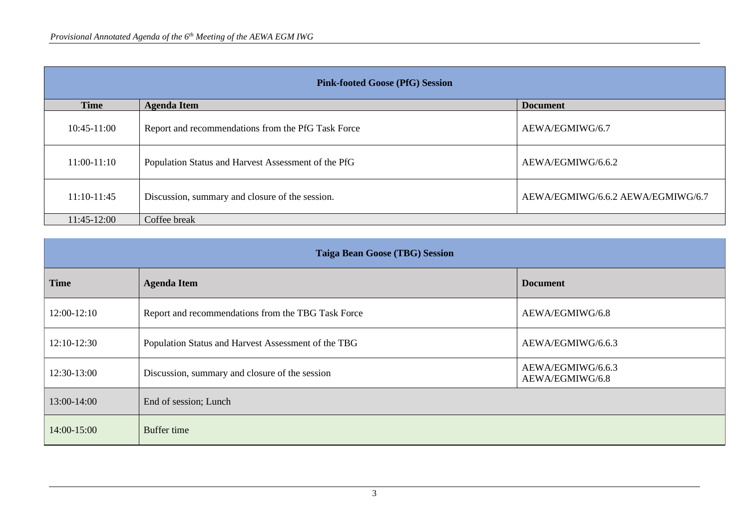| <b>Pink-footed Goose (PfG) Session</b> |                                                     |                                   |  |
|----------------------------------------|-----------------------------------------------------|-----------------------------------|--|
| <b>Time</b>                            | <b>Agenda Item</b>                                  | <b>Document</b>                   |  |
| $10:45-11:00$                          | Report and recommendations from the PfG Task Force  | AEWA/EGMIWG/6.7                   |  |
| $11:00-11:10$                          | Population Status and Harvest Assessment of the PfG | AEWA/EGMIWG/6.6.2                 |  |
| $11:10-11:45$                          | Discussion, summary and closure of the session.     | AEWA/EGMIWG/6.6.2 AEWA/EGMIWG/6.7 |  |
| $11:45-12:00$                          | Coffee break                                        |                                   |  |

| <b>Taiga Bean Goose (TBG) Session</b> |                                                     |                                      |
|---------------------------------------|-----------------------------------------------------|--------------------------------------|
| <b>Time</b>                           | <b>Agenda Item</b>                                  | <b>Document</b>                      |
| $12:00-12:10$                         | Report and recommendations from the TBG Task Force  | AEWA/EGMIWG/6.8                      |
| 12:10-12:30                           | Population Status and Harvest Assessment of the TBG | AEWA/EGMIWG/6.6.3                    |
| 12:30-13:00                           | Discussion, summary and closure of the session      | AEWA/EGMIWG/6.6.3<br>AEWA/EGMIWG/6.8 |
| 13:00-14:00                           | End of session; Lunch                               |                                      |
| 14:00-15:00                           | Buffer time                                         |                                      |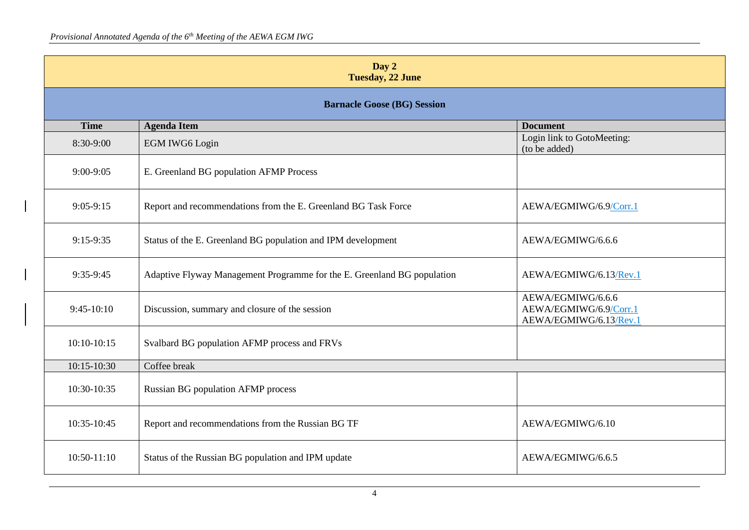| Day 2<br><b>Tuesday, 22 June</b>   |                                                                         |                                                                       |
|------------------------------------|-------------------------------------------------------------------------|-----------------------------------------------------------------------|
| <b>Barnacle Goose (BG) Session</b> |                                                                         |                                                                       |
| <b>Time</b>                        | <b>Agenda Item</b>                                                      | <b>Document</b>                                                       |
| 8:30-9:00                          | EGM IWG6 Login                                                          | Login link to GotoMeeting:<br>(to be added)                           |
| $9:00-9:05$                        | E. Greenland BG population AFMP Process                                 |                                                                       |
| $9:05-9:15$                        | Report and recommendations from the E. Greenland BG Task Force          | AEWA/EGMIWG/6.9/Corr.1                                                |
| 9:15-9:35                          | Status of the E. Greenland BG population and IPM development            | AEWA/EGMIWG/6.6.6                                                     |
| 9:35-9:45                          | Adaptive Flyway Management Programme for the E. Greenland BG population | AEWA/EGMIWG/6.13/Rev.1                                                |
| $9:45-10:10$                       | Discussion, summary and closure of the session                          | AEWA/EGMIWG/6.6.6<br>AEWA/EGMIWG/6.9/Corr.1<br>AEWA/EGMIWG/6.13/Rev.1 |
| $10:10-10:15$                      | Svalbard BG population AFMP process and FRVs                            |                                                                       |
| 10:15-10:30                        | Coffee break                                                            |                                                                       |
| 10:30-10:35                        | <b>Russian BG population AFMP process</b>                               |                                                                       |
| 10:35-10:45                        | Report and recommendations from the Russian BG TF                       | AEWA/EGMIWG/6.10                                                      |
| $10:50-11:10$                      | Status of the Russian BG population and IPM update                      | AEWA/EGMIWG/6.6.5                                                     |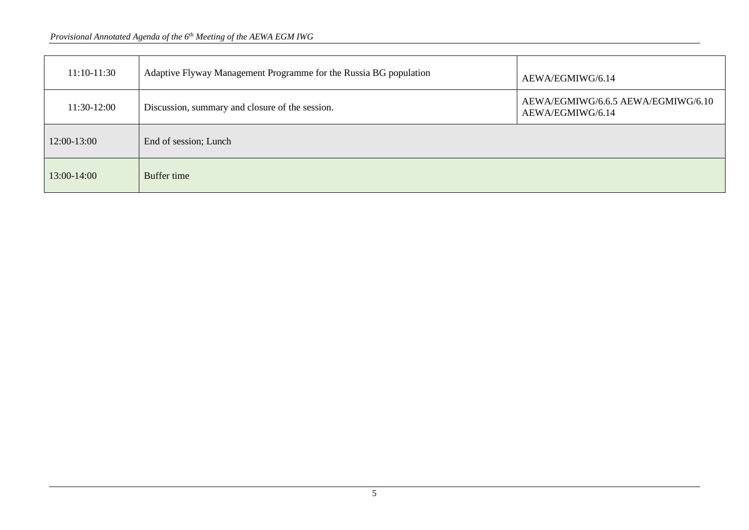| $11:10-11:30$ | Adaptive Flyway Management Programme for the Russia BG population | AEWA/EGMIWG/6.14                                       |
|---------------|-------------------------------------------------------------------|--------------------------------------------------------|
| 11:30-12:00   | Discussion, summary and closure of the session.                   | AEWA/EGMIWG/6.6.5 AEWA/EGMIWG/6.10<br>AEWA/EGMIWG/6.14 |
| 12:00-13:00   | End of session; Lunch                                             |                                                        |
| 13:00-14:00   | Buffer time                                                       |                                                        |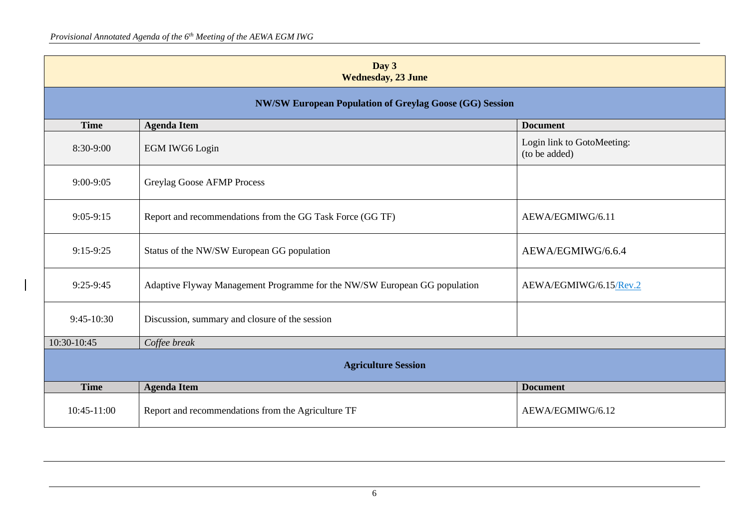| Day 3<br><b>Wednesday, 23 June</b>                             |                                                                           |                                             |
|----------------------------------------------------------------|---------------------------------------------------------------------------|---------------------------------------------|
| <b>NW/SW European Population of Greylag Goose (GG) Session</b> |                                                                           |                                             |
| <b>Time</b>                                                    | <b>Agenda Item</b>                                                        | <b>Document</b>                             |
| 8:30-9:00                                                      | <b>EGM IWG6 Login</b>                                                     | Login link to GotoMeeting:<br>(to be added) |
| $9:00-9:05$                                                    | Greylag Goose AFMP Process                                                |                                             |
| $9:05-9:15$                                                    | Report and recommendations from the GG Task Force (GG TF)                 | AEWA/EGMIWG/6.11                            |
| $9:15-9:25$                                                    | Status of the NW/SW European GG population                                | AEWA/EGMIWG/6.6.4                           |
| $9:25-9:45$                                                    | Adaptive Flyway Management Programme for the NW/SW European GG population | AEWA/EGMIWG/6.15/Rev.2                      |
| $9:45-10:30$                                                   | Discussion, summary and closure of the session                            |                                             |
| 10:30-10:45                                                    | Coffee break                                                              |                                             |
| <b>Agriculture Session</b>                                     |                                                                           |                                             |
| <b>Time</b>                                                    | <b>Agenda Item</b>                                                        | <b>Document</b>                             |
| 10:45-11:00                                                    | Report and recommendations from the Agriculture TF                        | AEWA/EGMIWG/6.12                            |